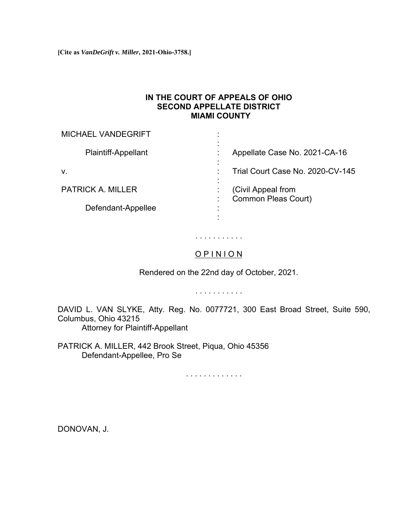**[Cite as** *VanDeGrift v. Miller***, 2021-Ohio-3758.]**

## **IN THE COURT OF APPEALS OF OHIO SECOND APPELLATE DISTRICT MIAMI COUNTY**

| <b>MICHAEL VANDEGRIFT</b>  |                                                  |
|----------------------------|--------------------------------------------------|
| <b>Plaintiff-Appellant</b> | Appellate Case No. 2021-CA-16                    |
| V.                         | Trial Court Case No. 2020-CV-145                 |
| <b>PATRICK A. MILLER</b>   | (Civil Appeal from<br><b>Common Pleas Court)</b> |
| Defendant-Appellee         |                                                  |
|                            |                                                  |

## . . . . . . . . . . .

## O P I N I O N

Rendered on the 22nd day of October, 2021.

. . . . . . . . . . .

DAVID L. VAN SLYKE, Atty. Reg. No. 0077721, 300 East Broad Street, Suite 590, Columbus, Ohio 43215 Attorney for Plaintiff-Appellant

PATRICK A. MILLER, 442 Brook Street, Piqua, Ohio 45356

Defendant-Appellee, Pro Se

. . . . . . . . . . . . .

DONOVAN, J.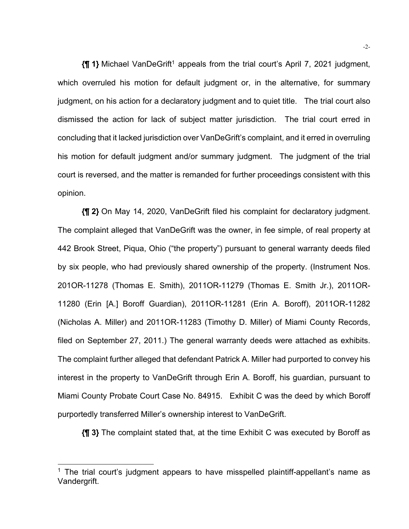**{¶ 1}** Michael VanDeGrift<sup>1</sup> appeals from the trial court's April 7, 2021 judgment, which overruled his motion for default judgment or, in the alternative, for summary judgment, on his action for a declaratory judgment and to quiet title. The trial court also dismissed the action for lack of subject matter jurisdiction. The trial court erred in concluding that it lacked jurisdiction over VanDeGrift's complaint, and it erred in overruling his motion for default judgment and/or summary judgment. The judgment of the trial court is reversed, and the matter is remanded for further proceedings consistent with this opinion.

**{¶ 2}** On May 14, 2020, VanDeGrift filed his complaint for declaratory judgment. The complaint alleged that VanDeGrift was the owner, in fee simple, of real property at 442 Brook Street, Piqua, Ohio ("the property") pursuant to general warranty deeds filed by six people, who had previously shared ownership of the property. (Instrument Nos. 201OR-11278 (Thomas E. Smith), 2011OR-11279 (Thomas E. Smith Jr.), 2011OR-11280 (Erin [A.] Boroff Guardian), 2011OR-11281 (Erin A. Boroff), 2011OR-11282 (Nicholas A. Miller) and 2011OR-11283 (Timothy D. Miller) of Miami County Records, filed on September 27, 2011.) The general warranty deeds were attached as exhibits. The complaint further alleged that defendant Patrick A. Miller had purported to convey his interest in the property to VanDeGrift through Erin A. Boroff, his guardian, pursuant to Miami County Probate Court Case No. 84915. Exhibit C was the deed by which Boroff purportedly transferred Miller's ownership interest to VanDeGrift.

**{¶ 3}** The complaint stated that, at the time Exhibit C was executed by Boroff as

 $1$  The trial court's judgment appears to have misspelled plaintiff-appellant's name as Vandergrift.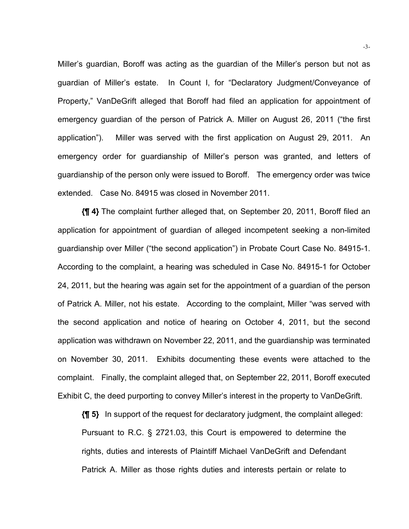Miller's guardian, Boroff was acting as the guardian of the Miller's person but not as guardian of Miller's estate. In Count I, for "Declaratory Judgment/Conveyance of Property," VanDeGrift alleged that Boroff had filed an application for appointment of emergency guardian of the person of Patrick A. Miller on August 26, 2011 ("the first application"). Miller was served with the first application on August 29, 2011. An emergency order for guardianship of Miller's person was granted, and letters of guardianship of the person only were issued to Boroff. The emergency order was twice extended. Case No. 84915 was closed in November 2011.

**{¶ 4}** The complaint further alleged that, on September 20, 2011, Boroff filed an application for appointment of guardian of alleged incompetent seeking a non-limited guardianship over Miller ("the second application") in Probate Court Case No. 84915-1. According to the complaint, a hearing was scheduled in Case No. 84915-1 for October 24, 2011, but the hearing was again set for the appointment of a guardian of the person of Patrick A. Miller, not his estate. According to the complaint, Miller "was served with the second application and notice of hearing on October 4, 2011, but the second application was withdrawn on November 22, 2011, and the guardianship was terminated on November 30, 2011. Exhibits documenting these events were attached to the complaint. Finally, the complaint alleged that, on September 22, 2011, Boroff executed Exhibit C, the deed purporting to convey Miller's interest in the property to VanDeGrift.

**{¶ 5}** In support of the request for declaratory judgment, the complaint alleged: Pursuant to R.C. § 2721.03, this Court is empowered to determine the rights, duties and interests of Plaintiff Michael VanDeGrift and Defendant Patrick A. Miller as those rights duties and interests pertain or relate to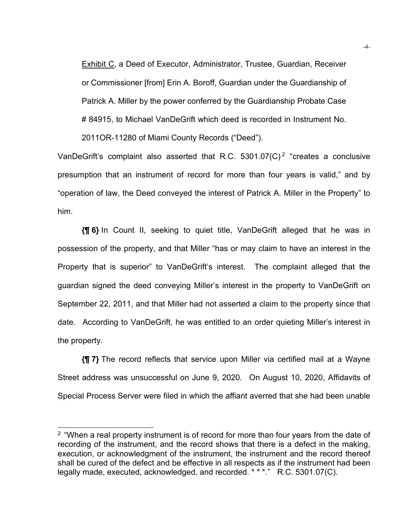Exhibit C, a Deed of Executor, Administrator, Trustee, Guardian, Receiver or Commissioner [from] Erin A. Boroff, Guardian under the Guardianship of Patrick A. Miller by the power conferred by the Guardianship Probate Case # 84915, to Michael VanDeGrift which deed is recorded in Instrument No. 2011OR-11280 of Miami County Records ("Deed").

VanDeGrift's complaint also asserted that R.C.  $5301.07(C)^2$  "creates a conclusive presumption that an instrument of record for more than four years is valid," and by "operation of law, the Deed conveyed the interest of Patrick A. Miller in the Property" to him.

**{¶ 6}** In Count II, seeking to quiet title, VanDeGrift alleged that he was in possession of the property, and that Miller "has or may claim to have an interest in the Property that is superior" to VanDeGrift's interest. The complaint alleged that the guardian signed the deed conveying Miller's interest in the property to VanDeGrift on September 22, 2011, and that Miller had not asserted a claim to the property since that date. According to VanDeGrift, he was entitled to an order quieting Miller's interest in the property.

**{¶ 7}** The record reflects that service upon Miller via certified mail at a Wayne Street address was unsuccessful on June 9, 2020. On August 10, 2020, Affidavits of Special Process Server were filed in which the affiant averred that she had been unable

 $2$  "When a real property instrument is of record for more than four years from the date of recording of the instrument, and the record shows that there is a defect in the making, execution, or acknowledgment of the instrument, the instrument and the record thereof shall be cured of the defect and be effective in all respects as if the instrument had been legally made, executed, acknowledged, and recorded. \* \* \*." R.C. 5301.07(C).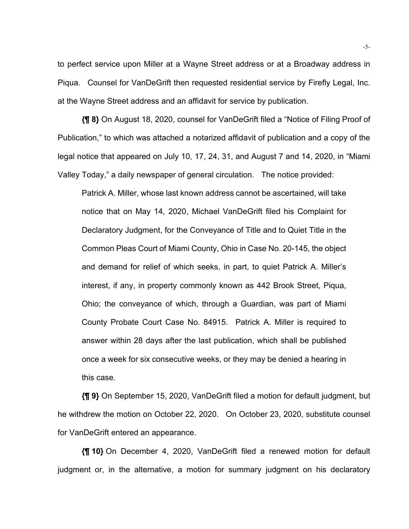to perfect service upon Miller at a Wayne Street address or at a Broadway address in Piqua. Counsel for VanDeGrift then requested residential service by Firefly Legal, Inc. at the Wayne Street address and an affidavit for service by publication.

**{¶ 8}** On August 18, 2020, counsel for VanDeGrift filed a "Notice of Filing Proof of Publication," to which was attached a notarized affidavit of publication and a copy of the legal notice that appeared on July 10, 17, 24, 31, and August 7 and 14, 2020, in "Miami Valley Today," a daily newspaper of general circulation. The notice provided:

Patrick A. Miller, whose last known address cannot be ascertained, will take notice that on May 14, 2020, Michael VanDeGrift filed his Complaint for Declaratory Judgment, for the Conveyance of Title and to Quiet Title in the Common Pleas Court of Miami County, Ohio in Case No. 20-145, the object and demand for relief of which seeks, in part, to quiet Patrick A. Miller's interest, if any, in property commonly known as 442 Brook Street, Piqua, Ohio; the conveyance of which, through a Guardian, was part of Miami County Probate Court Case No. 84915. Patrick A. Miller is required to answer within 28 days after the last publication, which shall be published once a week for six consecutive weeks, or they may be denied a hearing in this case.

**{¶ 9}** On September 15, 2020, VanDeGrift filed a motion for default judgment, but he withdrew the motion on October 22, 2020. On October 23, 2020, substitute counsel for VanDeGrift entered an appearance.

**{¶ 10}** On December 4, 2020, VanDeGrift filed a renewed motion for default judgment or, in the alternative, a motion for summary judgment on his declaratory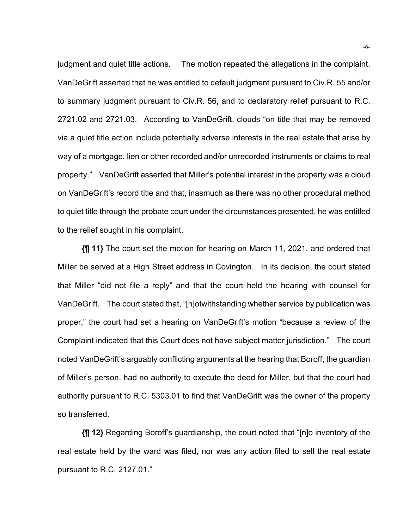judgment and quiet title actions. The motion repeated the allegations in the complaint. VanDeGrift asserted that he was entitled to default judgment pursuant to Civ.R. 55 and/or to summary judgment pursuant to Civ.R. 56, and to declaratory relief pursuant to R.C. 2721.02 and 2721.03. According to VanDeGrift, clouds "on title that may be removed via a quiet title action include potentially adverse interests in the real estate that arise by way of a mortgage, lien or other recorded and/or unrecorded instruments or claims to real property." VanDeGrift asserted that Miller's potential interest in the property was a cloud on VanDeGrift's record title and that, inasmuch as there was no other procedural method to quiet title through the probate court under the circumstances presented, he was entitled to the relief sought in his complaint.

**{¶ 11}** The court set the motion for hearing on March 11, 2021, and ordered that Miller be served at a High Street address in Covington. In its decision, the court stated that Miller "did not file a reply" and that the court held the hearing with counsel for VanDeGrift. The court stated that, "[n]otwithstanding whether service by publication was proper," the court had set a hearing on VanDeGrift's motion "because a review of the Complaint indicated that this Court does not have subject matter jurisdiction." The court noted VanDeGrift's arguably conflicting arguments at the hearing that Boroff, the guardian of Miller's person, had no authority to execute the deed for Miller, but that the court had authority pursuant to R.C. 5303.01 to find that VanDeGrift was the owner of the property so transferred.

**{¶ 12}** Regarding Boroff's guardianship, the court noted that "[n]o inventory of the real estate held by the ward was filed, nor was any action filed to sell the real estate pursuant to R.C. 2127.01."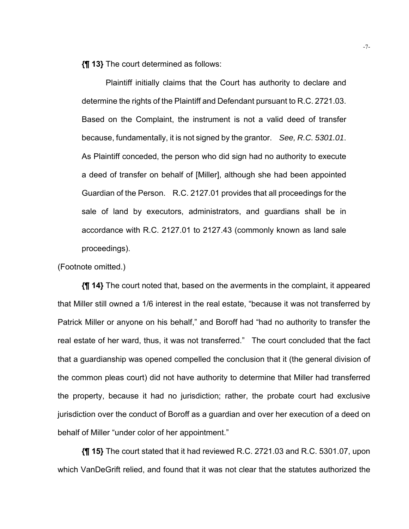**{¶ 13}** The court determined as follows:

Plaintiff initially claims that the Court has authority to declare and determine the rights of the Plaintiff and Defendant pursuant to R.C. 2721.03. Based on the Complaint, the instrument is not a valid deed of transfer because, fundamentally, it is not signed by the grantor. *See, R.C. 5301.01*. As Plaintiff conceded, the person who did sign had no authority to execute a deed of transfer on behalf of [Miller], although she had been appointed Guardian of the Person. R.C. 2127.01 provides that all proceedings for the sale of land by executors, administrators, and guardians shall be in accordance with R.C. 2127.01 to 2127.43 (commonly known as land sale proceedings).

(Footnote omitted.)

**{¶ 14}** The court noted that, based on the averments in the complaint, it appeared that Miller still owned a 1/6 interest in the real estate, "because it was not transferred by Patrick Miller or anyone on his behalf," and Boroff had "had no authority to transfer the real estate of her ward, thus, it was not transferred." The court concluded that the fact that a guardianship was opened compelled the conclusion that it (the general division of the common pleas court) did not have authority to determine that Miller had transferred the property, because it had no jurisdiction; rather, the probate court had exclusive jurisdiction over the conduct of Boroff as a guardian and over her execution of a deed on behalf of Miller "under color of her appointment."

**{¶ 15}** The court stated that it had reviewed R.C. 2721.03 and R.C. 5301.07, upon which VanDeGrift relied, and found that it was not clear that the statutes authorized the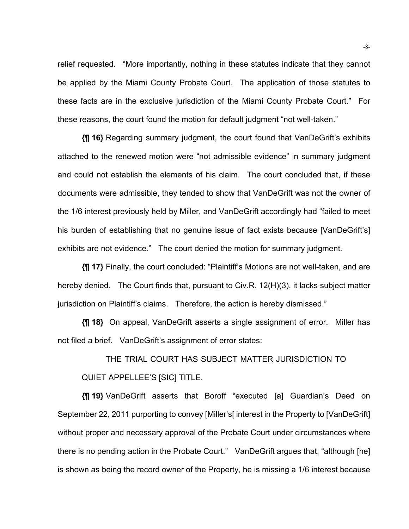relief requested. "More importantly, nothing in these statutes indicate that they cannot be applied by the Miami County Probate Court. The application of those statutes to these facts are in the exclusive jurisdiction of the Miami County Probate Court." For these reasons, the court found the motion for default judgment "not well-taken."

**{¶ 16}** Regarding summary judgment, the court found that VanDeGrift's exhibits attached to the renewed motion were "not admissible evidence" in summary judgment and could not establish the elements of his claim. The court concluded that, if these documents were admissible, they tended to show that VanDeGrift was not the owner of the 1/6 interest previously held by Miller, and VanDeGrift accordingly had "failed to meet his burden of establishing that no genuine issue of fact exists because [VanDeGrift's] exhibits are not evidence." The court denied the motion for summary judgment.

**{¶ 17}** Finally, the court concluded: "Plaintiff's Motions are not well-taken, and are hereby denied. The Court finds that, pursuant to Civ.R. 12(H)(3), it lacks subject matter jurisdiction on Plaintiff's claims. Therefore, the action is hereby dismissed."

**{¶ 18}** On appeal, VanDeGrift asserts a single assignment of error. Miller has not filed a brief. VanDeGrift's assignment of error states:

THE TRIAL COURT HAS SUBJECT MATTER JURISDICTION TO QUIET APPELLEE'S [SIC] TITLE.

**{¶ 19}** VanDeGrift asserts that Boroff "executed [a] Guardian's Deed on September 22, 2011 purporting to convey [Miller's[ interest in the Property to [VanDeGrift] without proper and necessary approval of the Probate Court under circumstances where there is no pending action in the Probate Court." VanDeGrift argues that, "although [he] is shown as being the record owner of the Property, he is missing a 1/6 interest because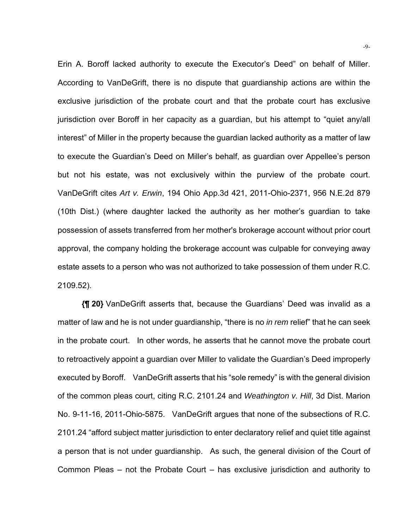Erin A. Boroff lacked authority to execute the Executor's Deed" on behalf of Miller. According to VanDeGrift, there is no dispute that guardianship actions are within the exclusive jurisdiction of the probate court and that the probate court has exclusive jurisdiction over Boroff in her capacity as a guardian, but his attempt to "quiet any/all interest" of Miller in the property because the guardian lacked authority as a matter of law to execute the Guardian's Deed on Miller's behalf, as guardian over Appellee's person but not his estate, was not exclusively within the purview of the probate court. VanDeGrift cites *Art v. Erwin*, 194 Ohio App.3d 421, 2011-Ohio-2371, 956 N.E.2d 879 (10th Dist.) (where daughter lacked the authority as her mother's guardian to take possession of assets transferred from her mother's brokerage account without prior court approval, the company holding the brokerage account was culpable for conveying away estate assets to a person who was not authorized to take possession of them under R.C. 2109.52).

**{¶ 20}** VanDeGrift asserts that, because the Guardians' Deed was invalid as a matter of law and he is not under guardianship, "there is no *in rem* relief" that he can seek in the probate court. In other words, he asserts that he cannot move the probate court to retroactively appoint a guardian over Miller to validate the Guardian's Deed improperly executed by Boroff. VanDeGrift asserts that his "sole remedy" is with the general division of the common pleas court, citing R.C. 2101.24 and *Weathington v. Hill*, 3d Dist. Marion No. 9-11-16, 2011-Ohio-5875. VanDeGrift argues that none of the subsections of R.C. 2101.24 "afford subject matter jurisdiction to enter declaratory relief and quiet title against a person that is not under guardianship. As such, the general division of the Court of Common Pleas – not the Probate Court – has exclusive jurisdiction and authority to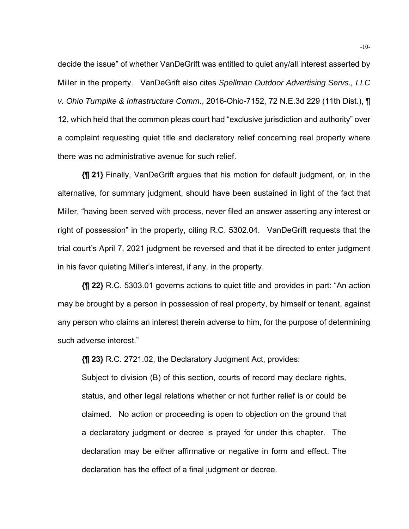decide the issue" of whether VanDeGrift was entitled to quiet any/all interest asserted by Miller in the property. VanDeGrift also cites *Spellman Outdoor Advertising Servs., LLC v. Ohio Turnpike & Infrastructure Comm*., 2016-Ohio-7152, 72 N.E.3d 229 (11th Dist.), ¶ 12, which held that the common pleas court had "exclusive jurisdiction and authority" over a complaint requesting quiet title and declaratory relief concerning real property where there was no administrative avenue for such relief.

**{¶ 21}** Finally, VanDeGrift argues that his motion for default judgment, or, in the alternative, for summary judgment, should have been sustained in light of the fact that Miller, "having been served with process, never filed an answer asserting any interest or right of possession" in the property, citing R.C. 5302.04. VanDeGrift requests that the trial court's April 7, 2021 judgment be reversed and that it be directed to enter judgment in his favor quieting Miller's interest, if any, in the property.

**{¶ 22}** R.C. 5303.01 governs actions to quiet title and provides in part: "An action may be brought by a person in possession of real property, by himself or tenant, against any person who claims an interest therein adverse to him, for the purpose of determining such adverse interest."

**{¶ 23}** R.C. 2721.02, the Declaratory Judgment Act, provides:

Subject to division (B) of this section, courts of record may declare rights, status, and other legal relations whether or not further relief is or could be claimed. No action or proceeding is open to objection on the ground that a declaratory judgment or decree is prayed for under this chapter. The declaration may be either affirmative or negative in form and effect. The declaration has the effect of a final judgment or decree.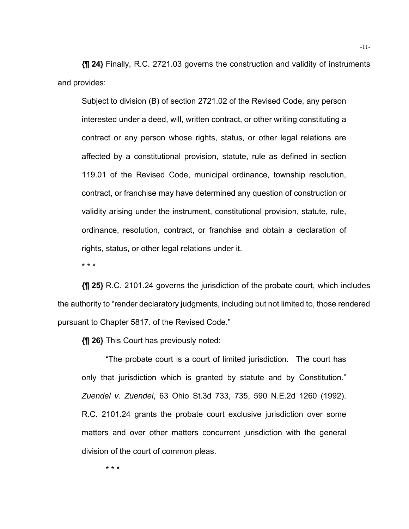**{¶ 24}** Finally, R.C. 2721.03 governs the construction and validity of instruments and provides:

Subject to division (B) of section 2721.02 of the Revised Code, any person interested under a deed, will, written contract, or other writing constituting a contract or any person whose rights, status, or other legal relations are affected by a constitutional provision, statute, rule as defined in section 119.01 of the Revised Code, municipal ordinance, township resolution, contract, or franchise may have determined any question of construction or validity arising under the instrument, constitutional provision, statute, rule, ordinance, resolution, contract, or franchise and obtain a declaration of rights, status, or other legal relations under it.

\* \* \*

**{¶ 25}** R.C. 2101.24 governs the jurisdiction of the probate court, which includes the authority to "render declaratory judgments, including but not limited to, those rendered pursuant to Chapter 5817. of the Revised Code."

**{¶ 26}** This Court has previously noted:

 "The probate court is a court of limited jurisdiction. The court has only that jurisdiction which is granted by statute and by Constitution." *Zuendel v. Zuendel*, 63 Ohio St.3d 733, 735, 590 N.E.2d 1260 (1992). R.C. 2101.24 grants the probate court exclusive jurisdiction over some matters and over other matters concurrent jurisdiction with the general division of the court of common pleas.

\* \* \*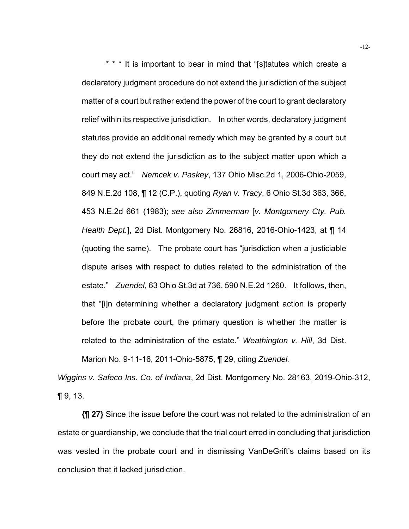\* \* \* It is important to bear in mind that "[s]tatutes which create a declaratory judgment procedure do not extend the jurisdiction of the subject matter of a court but rather extend the power of the court to grant declaratory relief within its respective jurisdiction. In other words, declaratory judgment statutes provide an additional remedy which may be granted by a court but they do not extend the jurisdiction as to the subject matter upon which a court may act." *Nemcek v. Paskey*, 137 Ohio Misc.2d 1, 2006-Ohio-2059, 849 N.E.2d 108, ¶ 12 (C.P.), quoting *Ryan v. Tracy*, 6 Ohio St.3d 363, 366, 453 N.E.2d 661 (1983); *see also Zimmerman* [*v. Montgomery Cty. Pub. Health Dept.*], 2d Dist. Montgomery No. 26816, 2016-Ohio-1423, at ¶ 14 (quoting the same). The probate court has "jurisdiction when a justiciable dispute arises with respect to duties related to the administration of the estate." *Zuendel*, 63 Ohio St.3d at 736, 590 N.E.2d 1260. It follows, then, that "[i]n determining whether a declaratory judgment action is properly before the probate court, the primary question is whether the matter is related to the administration of the estate." *Weathington v. Hill*, 3d Dist. Marion No. 9-11-16, 2011-Ohio-5875, ¶ 29, citing *Zuendel.* 

*Wiggins v. Safeco Ins. Co. of Indiana*, 2d Dist. Montgomery No. 28163, 2019-Ohio-312,  $\P$  9, 13.

**{¶ 27}** Since the issue before the court was not related to the administration of an estate or guardianship, we conclude that the trial court erred in concluding that jurisdiction was vested in the probate court and in dismissing VanDeGrift's claims based on its conclusion that it lacked jurisdiction.